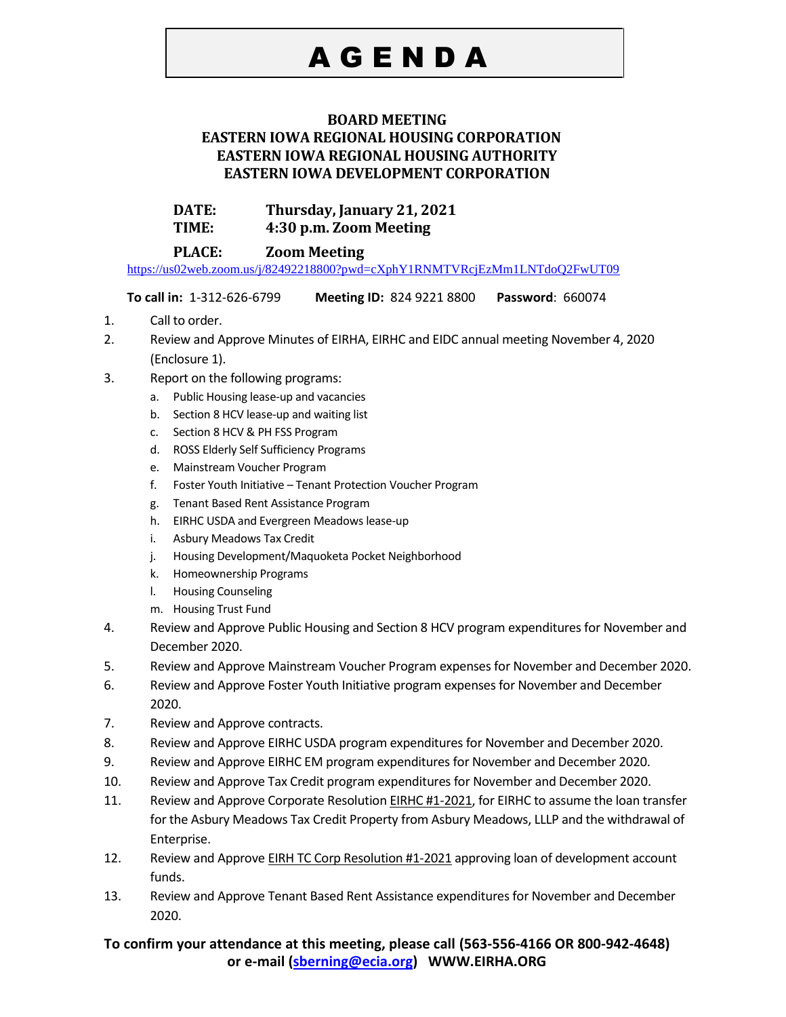# A G E N D A

### **BOARD MEETING**

### **EASTERN IOWA REGIONAL HOUSING CORPORATION EASTERN IOWA REGIONAL HOUSING AUTHORITY EASTERN IOWA DEVELOPMENT CORPORATION**

## **DATE: Thursday, January 21, 2021**

**TIME: 4:30 p.m. Zoom Meeting** 

## **PLACE: Zoom Meeting**

<https://us02web.zoom.us/j/82492218800?pwd=cXphY1RNMTVRcjEzMm1LNTdoQ2FwUT09>

**To call in:** 1-312-626-6799 **Meeting ID:** 824 9221 8800 **Password**: 660074

- 1. Call to order.
- 2. Review and Approve Minutes of EIRHA, EIRHC and EIDC annual meeting November 4, 2020 (Enclosure 1).
- 3. Report on the following programs:
	- a. Public Housing lease-up and vacancies
	- b. Section 8 HCV lease-up and waiting list
	- c. Section 8 HCV & PH FSS Program
	- d. ROSS Elderly Self Sufficiency Programs
	- e. Mainstream Voucher Program
	- f. Foster Youth Initiative Tenant Protection Voucher Program
	- g. Tenant Based Rent Assistance Program
	- h. EIRHC USDA and Evergreen Meadows lease-up
	- i. Asbury Meadows Tax Credit
	- j. Housing Development/Maquoketa Pocket Neighborhood
	- k. Homeownership Programs
	- l. Housing Counseling
	- m. Housing Trust Fund
- 4. Review and Approve Public Housing and Section 8 HCV program expenditures for November and December 2020.
- 5. Review and Approve Mainstream Voucher Program expenses for November and December 2020.
- 6. Review and Approve Foster Youth Initiative program expenses for November and December 2020.
- 7. Review and Approve contracts.
- 8. Review and Approve EIRHC USDA program expenditures for November and December 2020.
- 9. Review and Approve EIRHC EM program expenditures for November and December 2020.
- 10. Review and Approve Tax Credit program expenditures for November and December 2020.
- 11. Review and Approve Corporate Resolution EIRHC #1-2021, for EIRHC to assume the loan transfer for the Asbury Meadows Tax Credit Property from Asbury Meadows, LLLP and the withdrawal of Enterprise.
- 12. Review and Approve **EIRH TC Corp Resolution #1-2021** approving loan of development account funds.
- 13. Review and Approve Tenant Based Rent Assistance expenditures for November and December 2020.

## **To confirm your attendance at this meeting, please call (563-556-4166 OR 800-942-4648) or e-mail [\(sberning@ecia.org\)](mailto:sberning@ecia.org) WWW.EIRHA.ORG**